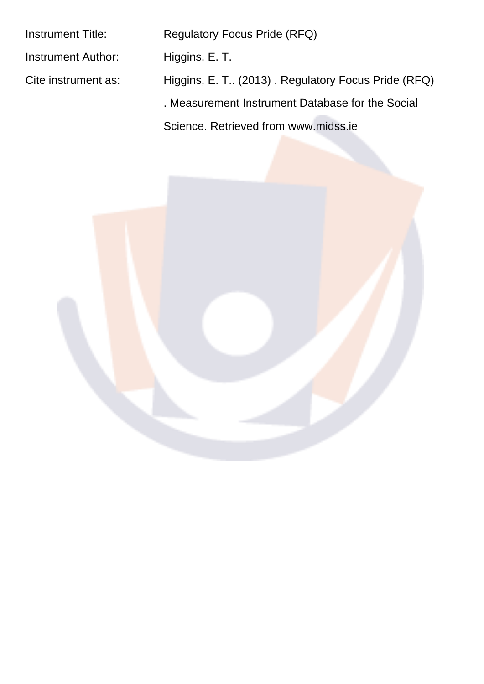| <b>Instrument Title:</b>  | <b>Regulatory Focus Pride (RFQ)</b>                |
|---------------------------|----------------------------------------------------|
| <b>Instrument Author:</b> | Higgins, E. T.                                     |
| Cite instrument as:       | Higgins, E. T (2013). Regulatory Focus Pride (RFQ) |
|                           | . Measurement Instrument Database for the Social   |
|                           | Science, Retrieved from www.midss.ie               |